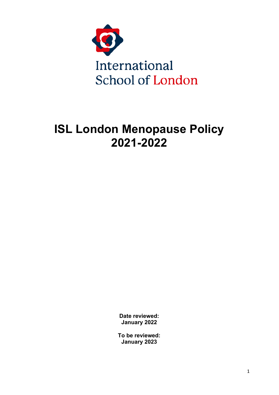

# **ISL London Menopause Policy 2021-2022**

**Date reviewed: January 2022**

**To be reviewed: January 2023**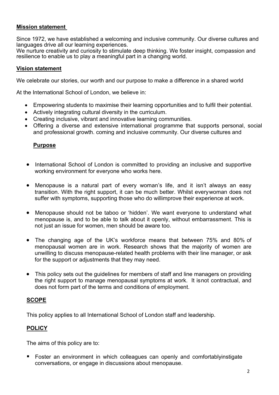#### **Mission statement**

Since 1972, we have established a welcoming and inclusive community. Our diverse cultures and languages drive all our learning experiences.

We nurture creativity and curiosity to stimulate deep thinking. We foster insight, compassion and resilience to enable us to play a meaningful part in a changing world.

#### **Vision statement**

We celebrate our stories, our worth and our purpose to make a difference in a shared world

At the International School of London, we believe in:

- Empowering students to maximise their learning opportunities and to fulfil their potential.
- Actively integrating cultural diversity in the curriculum.
- Creating inclusive, vibrant and innovative learning communities.
- Offering a diverse and extensive international programme that supports personal, social and professional growth. coming and inclusive community. Our diverse cultures and

#### **Purpose**

- International School of London is committed to providing an inclusive and supportive working environment for everyone who works here.
- Menopause is a natural part of every woman's life, and it isn't always an easy transition. With the right support, it can be much better. Whilst everywoman does not suffer with symptoms, supporting those who do willimprove their experience at work.
- Menopause should not be taboo or 'hidden'. We want everyone to understand what menopause is, and to be able to talk about it openly, without embarrassment. This is not just an issue for women, men should be aware too.
- The changing age of the UK's workforce means that between 75% and 80% of menopausal women are in work. Research shows that the majority of women are unwilling to discuss menopause-related health problems with their line manager, or ask for the support or adjustments that they may need.
- This policy sets out the guidelines for members of staff and line managers on providing the right support to manage menopausal symptoms at work. It isnot contractual, and does not form part of the terms and conditions of employment.

#### **SCOPE**

This policy applies to all International School of London staff and leadership.

#### **POLICY**

The aims of this policy are to:

 Foster an environment in which colleagues can openly and comfortablyinstigate conversations, or engage in discussions about menopause.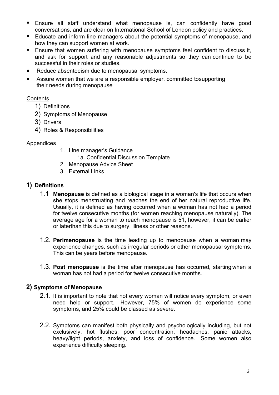- Ensure all staff understand what menopause is, can confidently have good conversations, and are clear on International School of London policy and practices.
- Educate and inform line managers about the potential symptoms of menopause, and how they can support women at work.
- **Ensure that women suffering with menopause symptoms feel confident to discuss it,** and ask for support and any reasonable adjustments so they can continue to be successful in their roles or studies.
- Reduce absenteeism due to menopausal symptoms.
- Assure women that we are a responsible employer, committed tosupporting their needs during menopause

## **Contents**

- 1) Definitions
- 2) Symptoms of Menopause
- 3) Drivers
- 4) Roles & Responsibilities

#### Appendices

- 1. Line manager's Guidance
	- 1a. Confidential Discussion Template
- 2. Menopause Advice Sheet
- 3. External Links

#### **1) Definitions**

- 1.1 **Menopause** is defined as a biological stage in a woman's life that occurs when she stops menstruating and reaches the end of her natural reproductive life. Usually, it is defined as having occurred when a woman has not had a period for twelve consecutive months (for women reaching menopause naturally). The average age for a woman to reach menopause is 51, however, it can be earlier or laterthan this due to surgery, illness or other reasons.
- 1.2. **Perimenopause** is the time leading up to menopause when a woman may experience changes, such as irregular periods or other menopausal symptoms. This can be years before menopause.
- 1.3. **Post menopause** is the time after menopause has occurred, starting when a woman has not had a period for twelve consecutive months.

#### **2) Symptoms of Menopause**

- 2.1. It is important to note that not every woman will notice every symptom, or even need help or support. However, 75% of women do experience some symptoms, and 25% could be classed as severe.
- 2.2. Symptoms can manifest both physically and psychologically including, but not exclusively, hot flushes, poor concentration, headaches, panic attacks, heavy/light periods, anxiety, and loss of confidence. Some women also experience difficulty sleeping.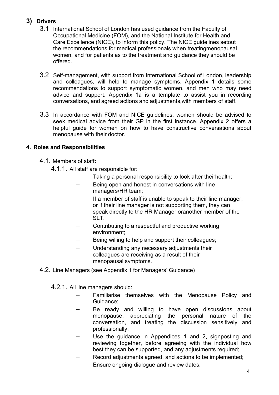# **3) Drivers**

- 3.1 International School of London has used guidance from the Faculty of Occupational Medicine (FOM), and the National Institute for Health and Care Excellence (NICE), to inform this policy. The NICE guidelines setout the recommendations for medical professionals when treatingmenopausal women, and for patients as to the treatment and guidance they should be offered.
- 3.2 Self-management, with support from International School of London, leadership and colleagues, will help to manage symptoms. Appendix 1 details some recommendations to support symptomatic women, and men who may need advice and support. Appendix 1a is a template to assist you in recording conversations, and agreed actions and adjustments,with members of staff.
- 3.3 In accordance with FOM and NICE guidelines, women should be advised to seek medical advice from their GP in the first instance. Appendix 2 offers a helpful guide for women on how to have constructive conversations about menopause with their doctor.

# **4. Roles and Responsibilities**

- 4.1. Members of staff**:**
	- 4.1.1. All staff are responsible for:
		- Taking a personal responsibility to look after theirhealth;
		- − Being open and honest in conversations with line managers/HR team;
		- If a member of staff is unable to speak to their line manager, or if their line manager is not supporting them, they can speak directly to the HR Manager oranother member of the SLT.
		- − Contributing to a respectful and productive working environment;
		- Being willing to help and support their colleagues;
		- − Understanding any necessary adjustments their colleagues are receiving as a result of their menopausal symptoms.
- 4.2. Line Managers (see Appendix 1 for Managers' Guidance)
	- 4.2.1. All line managers should:
		- Familiarise themselves with the Menopause Policy and Guidance;
		- Be ready and willing to have open discussions about menopause, appreciating the personal nature of the conversation, and treating the discussion sensitively and professionally;
		- − Use the guidance in Appendices 1 and 2, signposting and reviewing together, before agreeing with the individual how best they can be supported, and any adjustments required;
		- Record adjustments agreed, and actions to be implemented;
		- − Ensure ongoing dialogue and review dates;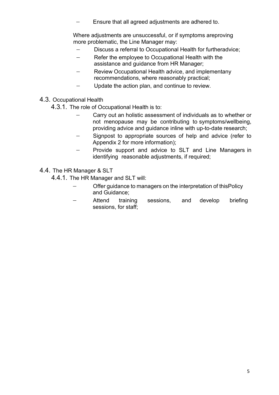Ensure that all agreed adjustments are adhered to.

Where adjustments are unsuccessful, or if symptoms areproving more problematic, the Line Manager may:

- − Discuss a referral to Occupational Health for furtheradvice;
- − Refer the employee to Occupational Health with the assistance and guidance from HR Manager;
- − Review Occupational Health advice, and implementany recommendations, where reasonably practical;
- − Update the action plan, and continue to review.
- 4.3. Occupational Health

4.3.1. The role of Occupational Health is to:

- Carry out an holistic assessment of individuals as to whether or not menopause may be contributing to symptoms/wellbeing, providing advice and guidance inline with up-to-date research;
- − Signpost to appropriate sources of help and advice (refer to Appendix 2 for more information);
- Provide support and advice to SLT and Line Managers in identifying reasonable adjustments, if required;
- 4.4. The HR Manager & SLT

4.4.1. The HR Manager and SLT will:

- Offer guidance to managers on the interpretation of thisPolicy and Guidance;
- Attend training sessions, and develop briefing sessions, for staff;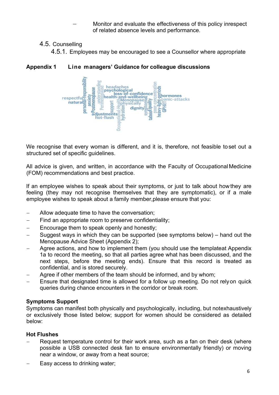Monitor and evaluate the effectiveness of this policy inrespect of related absence levels and performance.

# 4.5. Counselling

4.5.1. Employees may be encouraged to see a Counsellor where appropriate

respectful-respectively headache menopause psychological loss-of-confidence ar loss-of-confiden<br>Phealth-and-wellbeing<br>Dan EMenopause≌ ghormones anxiety panic-attacks enopause inhysically dignity **BD** adiustments hot-flush

**Appendix 1 Line managers' Guidance for colleague discussions**

We recognise that every woman is different, and it is, therefore, not feasible toset out a structured set of specific guidelines.

All advice is given, and written, in accordance with the Faculty of OccupationalMedicine (FOM) recommendations and best practice.

If an employee wishes to speak about their symptoms, or just to talk about howthey are feeling (they may not recognise themselves that they are symptomatic), or if a male employee wishes to speak about a family member,please ensure that you:

- − Allow adequate time to have the conversation;
- − Find an appropriate room to preserve confidentiality;
- − Encourage them to speak openly and honestly;
- − Suggest ways in which they can be supported (see symptoms below) hand out the Menopause Advice Sheet (Appendix 2);
- − Agree actions, and how to implement them (you should use the templateat Appendix 1a to record the meeting, so that all parties agree what has been discussed, and the next steps, before the meeting ends). Ensure that this record is treated as confidential, and is stored securely.
- Agree if other members of the team should be informed, and by whom;
- − Ensure that designated time is allowed for a follow up meeting. Do not relyon quick queries during chance encounters in the corridor or break room.

# **Symptoms Support**

Symptoms can manifest both physically and psychologically, including, but notexhaustively or exclusively those listed below; support for women should be considered as detailed below:

# **Hot Flushes**

- Request temperature control for their work area, such as a fan on their desk (where possible a USB connected desk fan to ensure environmentally friendly) or moving near a window, or away from a heat source;
- − Easy access to drinking water;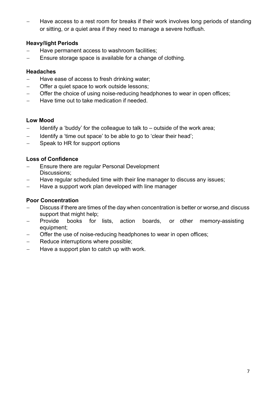Have access to a rest room for breaks if their work involves long periods of standing or sitting, or a quiet area if they need to manage a severe hotflush.

# **Heavy/light Periods**

- − Have permanent access to washroom facilities;
- Ensure storage space is available for a change of clothing.

#### **Headaches**

- − Have ease of access to fresh drinking water;
- − Offer a quiet space to work outside lessons;
- − Offer the choice of using noise-reducing headphones to wear in open offices;
- − Have time out to take medication if needed.

## **Low Mood**

- − Identify a 'buddy' for the colleague to talk to outside of the work area;
- − Identify a 'time out space' to be able to go to 'clear their head';
- − Speak to HR for support options

## **Loss of Confidence**

- Ensure there are regular Personal Development Discussions;
- − Have regular scheduled time with their line manager to discuss any issues;
- − Have a support work plan developed with line manager

## **Poor Concentration**

- − Discuss if there are times of the day when concentration is better or worse,and discuss support that might help;
- − Provide books for lists, action boards, or other memory-assisting equipment;
- Offer the use of noise-reducing headphones to wear in open offices;
- − Reduce interruptions where possible;
- − Have a support plan to catch up with work.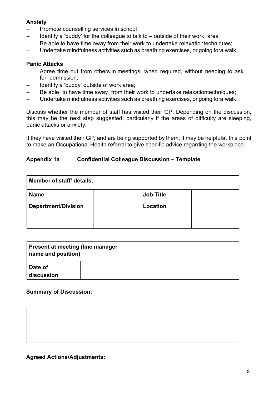# **Anxiety**

- Promote counselling services in school
- − Identify a 'buddy' for the colleague to talk to outside of their work area
- − Be able to have time away from their work to undertake relaxationtechniques;
- − Undertake mindfulness activities such as breathing exercises, or going fora walk.

#### **Panic Attacks**

- − Agree time out from others in meetings, when required, without needing to ask for permission;
- − Identify a 'buddy' outside of work area;
- Be able to have time away from their work to undertake relaxationtechniques;
- − Undertake mindfulness activities such as breathing exercises, or going fora walk.

Discuss whether the member of staff has visited their GP. Depending on the discussion, this may be the next step suggested, particularly if the areas of difficulty are sleeping, panic attacks or anxiety.

If they have visited their GP, and are being supported by them, it may be helpfulat this point to make an Occupational Health referral to give specific advice regarding the workplace.

#### **Appendix 1a Confidential Colleague Discussion – Template**

| Member of staff' details:  |  |                  |  |  |
|----------------------------|--|------------------|--|--|
| <b>Name</b>                |  | <b>Job Title</b> |  |  |
| <b>Department/Division</b> |  | Location         |  |  |
|                            |  |                  |  |  |
|                            |  |                  |  |  |

| <b>Present at meeting (line manager</b><br>name and position) |  |
|---------------------------------------------------------------|--|
| Date of<br>discussion                                         |  |

## **Summary of Discussion:**

#### **Agreed Actions/Adjustments:**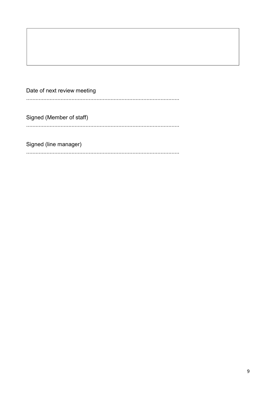| Date of next review meeting |
|-----------------------------|
|                             |
| Signed (Member of staff)    |
|                             |

Signed (line manager)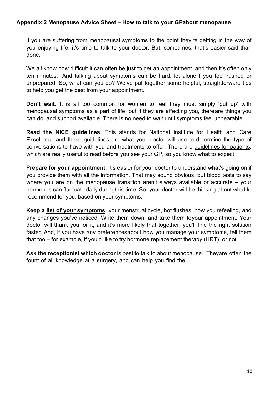#### **Appendix 2 Menopause Advice Sheet – How to talk to your GPabout menopause**

If you are suffering from menopausal symptoms to the point they're getting in the way of you enjoying life, it's time to talk to your doctor. But, sometimes, that's easier said than done.

We all know how difficult it can often be just to get an appointment, and then it's often only ten minutes. And talking about symptoms can be hard, let alone if you feel rushed or unprepared. So, what can you do? We've put together some helpful, straightforward tips to help you get the best from your appointment.

**Don't wait**. It is all too common for women to feel they must simply 'put up' with [menopausal symptoms](https://henpicked.net/what-are-the-symptoms-of-menopause/) as a part of life, but if they are affecting you, thereare things you can do, and support available. There is no need to wait until symptoms feel unbearable.

**Read the NICE guidelines**. This stands for National Institute for Health and Care Excellence and these guidelines are what your doctor will use to determine the type of conversations to have with you and treatments to offer. There are [guidelines for](https://www.nice.org.uk/guidance/ng23/ifp/chapter/About-this-information) patient[s,](https://www.nice.org.uk/guidance/ng23/ifp/chapter/About-this-information)  which are really useful to read before you see your GP, so you know what to expect.

**Prepare for your appointment.** It's easier for your doctor to understand what's going on if you provide them with all the information. That may sound obvious, but blood tests to say where you are on the menopause transition aren't always available or accurate – your hormones can fluctuate daily duringthis time. So, your doctor will be thinking about what to recommend for you, based on your symptoms.

**Keep a list of your [symptoms](https://www.nhs.uk/conditions/menopause/symptoms/)**[, y](https://www.nhs.uk/conditions/menopause/symptoms/)our menstrual cycle, hot flushes, how you'refeeling, and any changes you've noticed. Write them down, and take them toyour appointment. Your doctor will thank you for it, and it's more likely that together, you'll find the right solution faster. And, if you have any preferencesabout how you manage your symptoms, tell them that too – for example, if you'd like to try hormone replacement therapy (HRT), or not.

**Ask the receptionist which doctor** is best to talk to about menopause. Theyare often the fount of all knowledge at a surgery, and can help you find the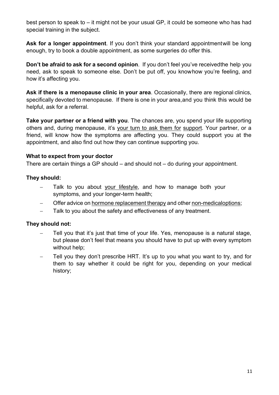best person to speak to – it might not be your usual GP, it could be someone who has had special training in the subject.

**Ask for a longer appointment**. If you don't think your standard appointmentwill be long enough, try to book a double appointment, as some surgeries do offer this.

**Don't be afraid to ask for a second opinion**. If you don't feel you've receivedthe help you need, ask to speak to someone else. Don't be put off, you knowhow you're feeling, and how it's affecting you.

**Ask if there is a menopause clinic in your area**. Occasionally, there are regional clinics, specifically devoted to menopause. If there is one in your area,and you think this would be helpful, ask for a referral.

**Take your partner or a friend with you**. The chances are, you spend your life supporting others and, during menopause, it's [your turn to ask them for](https://henpicked.net/asking-for-support-through-menopause/) [support.](https://henpicked.net/asking-for-support-through-menopause/) Your partner, or a friend, will know how the symptoms are affecting you. They could support you at the appointment, and also find out how they can continue supporting you.

## **What to expect from your doctor**

There are certain things a GP should – and should not – do during your appointment.

#### **They should:**

- Talk to you about your [lifestyle,](https://henpicked.net/exercise-and-nutrition-during-menopause/) and how to manage both your symptoms, and your longer-term health;
- Offer advice on hormone [replacement](https://henpicked.net/menopause-getting-the-right-treatment/) therapy and other [non-medicaloptions;](https://henpicked.net/a-natural-approach-to-menopause/)
- − Talk to you about the safety and effectiveness of any treatment.

## **They should not:**

- − Tell you that it's just that time of your life. Yes, menopause is a natural stage, but please don't feel that means you should have to put up with every symptom without help;
- Tell you they don't prescribe HRT. It's up to you what you want to try, and for them to say whether it could be right for you, depending on your medical history;